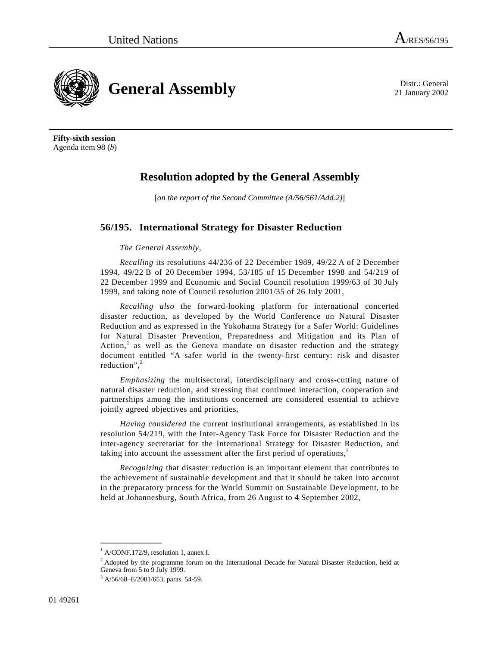21 January 2002

**General Assembly** Distr.: General **Constant Property** 2002

**Fifty-sixth session**  Agenda item 98 (*b*)

## **Resolution adopted by the General Assembly**

[*on the report of the Second Committee (A/56/561/Add.2)*]

## **56/195. International Strategy for Disaster Reduction**

## *The General Assembly*,

*Recalling* its resolutions 44/236 of 22 December 1989, 49/22 A of 2 December 1994, 49/22 B of 20 December 1994, 53/185 of 15 December 1998 and 54/219 of 22 December 1999 and Economic and Social Council resolution 1999/63 of 30 July 1999, and taking note of Council resolution 2001/35 of 26 July 2001,

*Recalling also* the forward-looking platform for international concerted disaster reduction, as developed by the World Conference on Natural Disaster Reduction and as expressed in the Yokohama Strategy for a Safer World: Guidelines for Natural Disaster Prevention, Preparedness and Mitigation and its Plan of Action,<sup>1</sup> as well as the Geneva mandate on disaster reduction and the strategy document entitled "A safer world in the twenty-first century: risk and disaster reduction", $2$ 

*Emphasizing* the multisectoral, interdisciplinary and cross-cutting nature of natural disaster reduction, and stressing that continued interaction, cooperation and partnerships among the institutions concerned are considered essential to achieve jointly agreed objectives and priorities,

*Having considered* the current institutional arrangements, as established in its resolution 54/219, with the Inter-Agency Task Force for Disaster Reduction and the inter-agency secretariat for the International Strategy for Disaster Reduction, and taking into account the assessment after the first period of operations, $3$ 

*Recognizing* that disaster reduction is an important element that contributes to the achievement of sustainable development and that it should be taken into account in the preparatory process for the World Summit on Sustainable Development, to be held at Johannesburg, South Africa, from 26 August to 4 September 2002,

**\_\_\_\_\_\_\_\_\_\_\_\_\_\_\_** 

<sup>1</sup> A/CONF.172/9, resolution 1, annex I.

<sup>&</sup>lt;sup>2</sup> Adopted by the programme forum on the International Decade for Natural Disaster Reduction, held at Geneva from 5 to 9 July 1999.

<sup>&</sup>lt;sup>3</sup> A/56/68-E/2001/653, paras. 54-59.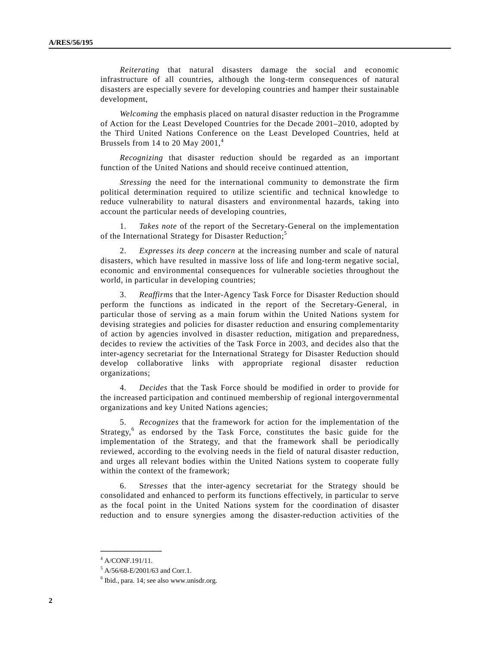*Reiterating* that natural disasters damage the social and economic infrastructure of all countries, although the long-term consequences of natural disasters are especially severe for developing countries and hamper their sustainable development,

*Welcoming* the emphasis placed on natural disaster reduction in the Programme of Action for the Least Developed Countries for the Decade 2001–2010, adopted by the Third United Nations Conference on the Least Developed Countries, held at Brussels from 14 to 20 May  $2001<sup>4</sup>$ 

*Recognizing* that disaster reduction should be regarded as an important function of the United Nations and should receive continued attention,

*Stressing* the need for the international community to demonstrate the firm political determination required to utilize scientific and technical knowledge to reduce vulnerability to natural disasters and environmental hazards, taking into account the particular needs of developing countries,

 1. *Takes note* of the report of the Secretary-General on the implementation of the International Strategy for Disaster Reduction;<sup>5</sup>

 2. *Expresses its deep concern* at the increasing number and scale of natural disasters, which have resulted in massive loss of life and long-term negative social, economic and environmental consequences for vulnerable societies throughout the world, in particular in developing countries;

 3. *Reaffirms* that the Inter-Agency Task Force for Disaster Reduction should perform the functions as indicated in the report of the Secretary-General, in particular those of serving as a main forum within the United Nations system for devising strategies and policies for disaster reduction and ensuring complementarity of action by agencies involved in disaster reduction, mitigation and preparedness, decides to review the activities of the Task Force in 2003, and decides also that the inter-agency secretariat for the International Strategy for Disaster Reduction should develop collaborative links with appropriate regional disaster reduction organizations;

 4. *Decides* that the Task Force should be modified in order to provide for the increased participation and continued membership of regional intergovernmental organizations and key United Nations agencies;

 5. *Recognizes* that the framework for action for the implementation of the Strategy,<sup>6</sup> as endorsed by the Task Force, constitutes the basic guide for the implementation of the Strategy, and that the framework shall be periodically reviewed, according to the evolving needs in the field of natural disaster reduction, and urges all relevant bodies within the United Nations system to cooperate fully within the context of the framework;

 6. S*tresses* that the inter-agency secretariat for the Strategy should be consolidated and enhanced to perform its functions effectively, in particular to serve as the focal point in the United Nations system for the coordination of disaster reduction and to ensure synergies among the disaster-reduction activities of the

**\_\_\_\_\_\_\_\_\_\_\_\_\_\_\_** 

<sup>4</sup> A/CONF.191/11.

<sup>5</sup> A/56/68-E/2001/63 and Corr.1.

<sup>6</sup> Ibid., para. 14; see also www.unisdr.org.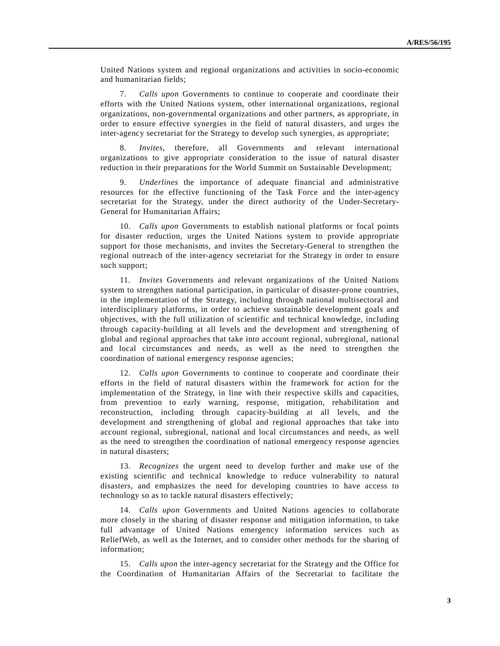United Nations system and regional organizations and activities in socio-economic and humanitarian fields;

 7. *Calls upon* Governments to continue to cooperate and coordinate their efforts with the United Nations system, other international organizations, regional organizations, non-governmental organizations and other partners, as appropriate, in order to ensure effective synergies in the field of natural disasters, and urges the inter-agency secretariat for the Strategy to develop such synergies, as appropriate;

 8. *Invites*, therefore, all Governments and relevant international organizations to give appropriate consideration to the issue of natural disaster reduction in their preparations for the World Summit on Sustainable Development;

 9. *Underlines* the importance of adequate financial and administrative resources for the effective functioning of the Task Force and the inter-agency secretariat for the Strategy, under the direct authority of the Under-Secretary-General for Humanitarian Affairs;

 10. *Calls upon* Governments to establish national platforms or focal points for disaster reduction, urges the United Nations system to provide appropriate support for those mechanisms, and invites the Secretary-General to strengthen the regional outreach of the inter-agency secretariat for the Strategy in order to ensure such support;

 11. *Invites* Governments and relevant organizations of the United Nations system to strengthen national participation, in particular of disaster-prone countries, in the implementation of the Strategy, including through national multisectoral and interdisciplinary platforms, in order to achieve sustainable development goals and objectives, with the full utilization of scientific and technical knowledge, including through capacity-building at all levels and the development and strengthening of global and regional approaches that take into account regional, subregional, national and local circumstances and needs, as well as the need to strengthen the coordination of national emergency response agencies;

 12. *Calls upon* Governments to continue to cooperate and coordinate their efforts in the field of natural disasters within the framework for action for the implementation of the Strategy, in line with their respective skills and capacities, from prevention to early warning, response, mitigation, rehabilitation and reconstruction, including through capacity-building at all levels, and the development and strengthening of global and regional approaches that take into account regional, subregional, national and local circumstances and needs, as well as the need to strengthen the coordination of national emergency response agencies in natural disasters;

 13. *Recognizes* the urgent need to develop further and make use of the existing scientific and technical knowledge to reduce vulnerability to natural disasters, and emphasizes the need for developing countries to have access to technology so as to tackle natural disasters effectively;

 14. *Calls upon* Governments and United Nations agencies to collaborate more closely in the sharing of disaster response and mitigation information, to take full advantage of United Nations emergency information services such as ReliefWeb, as well as the Internet, and to consider other methods for the sharing of information;

 15. *Calls upon* the inter-agency secretariat for the Strategy and the Office for the Coordination of Humanitarian Affairs of the Secretariat to facilitate the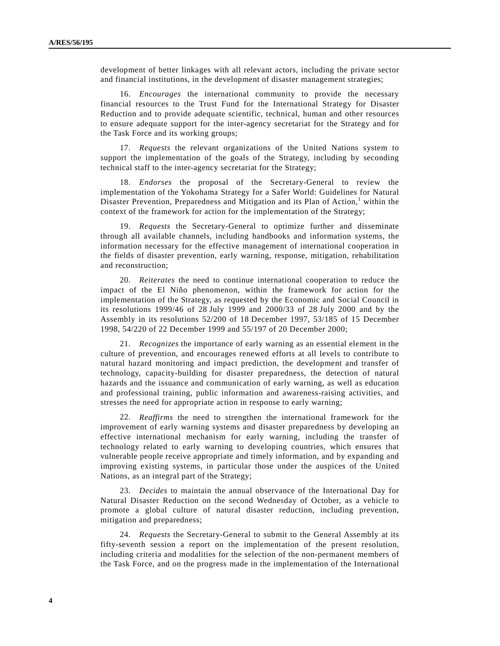development of better linkages with all relevant actors, including the private sector and financial institutions, in the development of disaster management strategies;

 16. *Encourages* the international community to provide the necessary financial resources to the Trust Fund for the International Strategy for Disaster Reduction and to provide adequate scientific, technical, human and other resources to ensure adequate support for the inter-agency secretariat for the Strategy and for the Task Force and its working groups;

 17. *Requests* the relevant organizations of the United Nations system to support the implementation of the goals of the Strategy, including by seconding technical staff to the inter-agency secretariat for the Strategy;

 18. *Endorses* the proposal of the Secretary-General to review the implementation of the Yokohama Strategy for a Safer World: Guidelines for Natural Disaster Prevention, Preparedness and Mitigation and its Plan of Action,<sup>1</sup> within the context of the framework for action for the implementation of the Strategy;

 19. *Requests* the Secretary-General to optimize further and disseminate through all available channels, including handbooks and information systems, the information necessary for the effective management of international cooperation in the fields of disaster prevention, early warning, response, mitigation, rehabilitation and reconstruction;

 20. *Reiterates* the need to continue international cooperation to reduce the impact of the El Niño phenomenon, within the framework for action for the implementation of the Strategy, as requested by the Economic and Social Council in its resolutions 1999/46 of 28 July 1999 and 2000/33 of 28 July 2000 and by the Assembly in its resolutions 52/200 of 18 December 1997, 53/185 of 15 December 1998, 54/220 of 22 December 1999 and 55/197 of 20 December 2000;

 21. *Recognizes* the importance of early warning as an essential element in the culture of prevention, and encourages renewed efforts at all levels to contribute to natural hazard monitoring and impact prediction, the development and transfer of technology, capacity-building for disaster preparedness, the detection of natural hazards and the issuance and communication of early warning, as well as education and professional training, public information and awareness-raising activities, and stresses the need for appropriate action in response to early warning;

 22. *Reaffirms* the need to strengthen the international framework for the improvement of early warning systems and disaster preparedness by developing an effective international mechanism for early warning, including the transfer of technology related to early warning to developing countries, which ensures that vulnerable people receive appropriate and timely information, and by expanding and improving existing systems, in particular those under the auspices of the United Nations, as an integral part of the Strategy;

 23. *Decides* to maintain the annual observance of the International Day for Natural Disaster Reduction on the second Wednesday of October, as a vehicle to promote a global culture of natural disaster reduction, including prevention, mitigation and preparedness;

 24. *Requests* the Secretary-General to submit to the General Assembly at its fifty-seventh session a report on the implementation of the present resolution, including criteria and modalities for the selection of the non-permanent members of the Task Force, and on the progress made in the implementation of the International